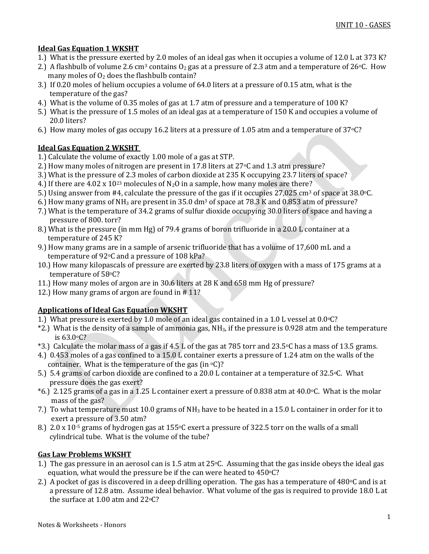# **Ideal Gas Equation 1 WKSHT**

- 1.) What is the pressure exerted by 2.0 moles of an ideal gas when it occupies a volume of 12.0 L at 373 K?
- 2.) A flashbulb of volume 2.6 cm<sup>3</sup> contains  $O_2$  gas at a pressure of 2.3 atm and a temperature of 26 °C. How many moles of  $O<sub>2</sub>$  does the flashbulb contain?
- 3.) If 0.20 moles of helium occupies a volume of 64.0 liters at a pressure of 0.15 atm, what is the temperature of the gas?
- 4.) What is the volume of 0.35 moles of gas at 1.7 atm of pressure and a temperature of 100 K?
- 5.) What is the pressure of 1.5 moles of an ideal gas at a temperature of 150 K and occupies a volume of 20.0 liters?
- 6.) How many moles of gas occupy 16.2 liters at a pressure of 1.05 atm and a temperature of 37oC?

# **Ideal Gas Equation 2 WKSHT**

- 1.) Calculate the volume of exactly 1.00 mole of a gas at STP.
- 2.) How many moles of nitrogen are present in 17.8 liters at  $27\degree$ C and 1.3 atm pressure?
- 3.) What is the pressure of 2.3 moles of carbon dioxide at 235 K occupying 23.7 liters of space?
- 4.) If there are 4.02 x  $10^{23}$  molecules of N<sub>2</sub>O in a sample, how many moles are there?
- 5.) Using answer from #4, calculate the pressure of the gas if it occupies 27,025 cm<sup>3</sup> of space at 38.0 $\degree$ C.
- 6.) How many grams of  $NH_3$  are present in 35.0 dm<sup>3</sup> of space at 78.3 K and 0.853 atm of pressure?
- 7.) What is the temperature of 34.2 grams of sulfur dioxide occupying 30.0 liters of space and having a pressure of 800. torr?
- 8.) What is the pressure (in mm Hg) of 79.4 grams of boron trifluoride in a 20.0 L container at a temperature of 245 K?
- 9.) How many grams are in a sample of arsenic trifluoride that has a volume of 17,600 mL and a temperature of 92oC and a pressure of 108 kPa?
- 10.) How many kilopascals of pressure are exerted by 23.8 liters of oxygen with a mass of 175 grams at a temperature of 58oC?
- 11.) How many moles of argon are in 30.6 liters at 28 K and 658 mm Hg of pressure?
- 12.) How many grams of argon are found in # 11?

### **Applications of Ideal Gas Equation WKSHT**

- 1.) What pressure is exerted by 1.0 mole of an ideal gas contained in a 1.0 L vessel at 0.0°C?
- $*2$ .) What is the density of a sample of ammonia gas, NH<sub>3</sub>, if the pressure is 0.928 atm and the temperature is 63.0oC?
- \*3.) Calculate the molar mass of a gas if 4.5 L of the gas at 785 torr and 23.5oC has a mass of 13.5 grams.
- 4.) 0.453 moles of a gas confined to a 15.0 L container exerts a pressure of 1.24 atm on the walls of the container. What is the temperature of the gas (in  $\mathrm{O}(2)$ ?
- 5.) 5.4 grams of carbon dioxide are confined to a 20.0 L container at a temperature of 32.5 °C. What pressure does the gas exert?
- $*6$ .) 2.125 grams of a gas in a 1.25 L container exert a pressure of 0.838 atm at 40.0  $\degree$ C. What is the molar mass of the gas?
- 7.) To what temperature must 10.0 grams of NH<sup>3</sup> have to be heated in a 15.0 L container in order for it to exert a pressure of 3.50 atm?
- 8.) 2.0 x 10<sup>-5</sup> grams of hydrogen gas at 155 $\degree$ C exert a pressure of 322.5 torr on the walls of a small cylindrical tube. What is the volume of the tube?

### **Gas Law Problems WKSHT**

- 1.) The gas pressure in an aerosol can is 1.5 atm at 25oC. Assuming that the gas inside obeys the ideal gas equation, what would the pressure be if the can were heated to 450°C?
- 2.) A pocket of gas is discovered in a deep drilling operation. The gas has a temperature of 480 $\degree$ C and is at a pressure of 12.8 atm. Assume ideal behavior. What volume of the gas is required to provide 18.0 L at the surface at 1.00 atm and 22oC?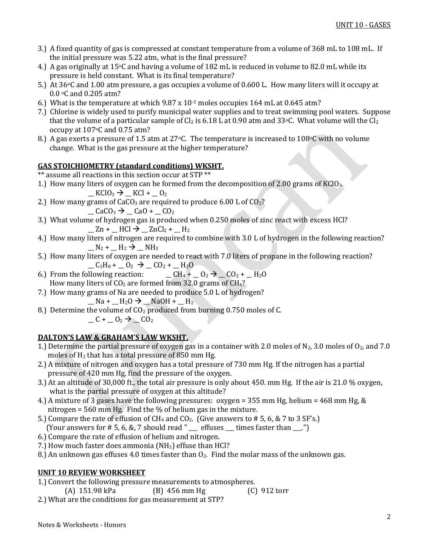- 3.) A fixed quantity of gas is compressed at constant temperature from a volume of 368 mL to 108 mL. If the initial pressure was 5.22 atm, what is the final pressure?
- 4.) A gas originally at 15°C and having a volume of 182 mL is reduced in volume to 82.0 mL while its pressure is held constant. What is its final temperature?
- 5.) At 36°C and 1.00 atm pressure, a gas occupies a volume of 0.600 L. How many liters will it occupy at 0.0 °C and 0.205 atm?
- 6.) What is the temperature at which 9.87 x 10-2 moles occupies 164 mL at 0.645 atm?
- 7.) Chlorine is widely used to purify municipal water supplies and to treat swimming pool waters. Suppose that the volume of a particular sample of Cl<sub>2</sub> is 6.18 L at 0.90 atm and 33 °C. What volume will the Cl<sub>2</sub> occupy at 107oC and 0.75 atm?
- 8.) A gas exerts a pressure of 1.5 atm at 27 °C. The temperature is increased to 108 °C with no volume change. What is the gas pressure at the higher temperature?

# **GAS STOICHIOMETRY (standard conditions) WKSHT.**

\*\* assume all reactions in this section occur at STP \*\*

1.) How many liters of oxygen can be formed from the decomposition of 2.00 grams of  $KClO<sub>3</sub>$ .

$$
KClO_3 \rightarrow KCl + O_2
$$

- 2.) How many grams of  $CaCO<sub>3</sub>$  are required to produce 6.00 L of  $CO<sub>2</sub>$ ?  $\angle$ CaCO<sub>3</sub>  $\rightarrow \angle$ CaO +  $\angle$ CO<sub>2</sub>
- 3.) What volume of hydrogen gas is produced when 0.250 moles of zinc react with excess HCl?  $_$   $_$  Zn +  $_$  HCl  $\rightarrow$   $_$  ZnCl<sub>2</sub> +  $_$  H<sub>2</sub>
- 4.) How many liters of nitrogen are required to combine with 3.0 L of hydrogen in the following reaction?  $-N_2$  +  $-N_2$   $\rightarrow$   $-NH_3$
- 5.) How many liters of oxygen are needed to react with 7.0 liters of propane in the following reaction?

$$
C_3H_8 + C_2 \rightarrow C_2 + H_2O
$$

- 6.) From the following reaction:  $CH_4 + O_2 \rightarrow CO_2 + H_2O$ How many liters of  $CO<sub>2</sub>$  are formed from 32.0 grams of  $CH<sub>4</sub>$ ?
- 7.) How many grams of Na are needed to produce 5.0 L of hydrogen?

 $\_$  Na +  $\_$  H<sub>2</sub>O  $\rightarrow$   $\_$  NaOH +  $\_$  H<sub>2</sub>

8.) Determine the volume of  $CO<sub>2</sub>$  produced from burning 0.750 moles of C.

$$
C + C2 \rightarrow C0
$$

# **DALTON'S LAW & GRAHAM'S LAW WKSHT.**

- 1.) Determine the partial pressure of oxygen gas in a container with 2.0 moles of  $N_2$ , 3.0 moles of  $O_2$ , and 7.0 moles of  $H_2$  that has a total pressure of 850 mm Hg.
- 2.) A mixture of nitrogen and oxygen has a total pressure of 730 mm Hg. If the nitrogen has a partial pressure of 420 mm Hg, find the pressure of the oxygen.
- 3.) At an altitude of 30,000 ft., the total air pressure is only about 450. mm Hg. If the air is 21.0 % oxygen, what is the partial pressure of oxygen at this altitude?
- 4.) A mixture of 3 gases have the following pressures: oxygen = 355 mm Hg, helium = 468 mm Hg, & nitrogen = 560 mm Hg. Find the % of helium gas in the mixture.
- 5.) Compare the rate of effusion of  $CH_4$  and  $CO_2$ . (Give answers to # 5, 6, & 7 to 3 SF's.)
- (Your answers for  $# 5, 6, 8, 7$  should read "  $\equiv$  effuses  $\equiv$  times faster than  $\equiv$ .")
- 6.) Compare the rate of effusion of helium and nitrogen.
- 7.) How much faster does ammonia ( $NH<sub>3</sub>$ ) effuse than HCl?
- 8.) An unknown gas effuses 4.0 times faster than  $O_2$ . Find the molar mass of the unknown gas.

### **UNIT 10 REVIEW WORKSHEET**

- 1.) Convert the following pressure measurements to atmospheres.
- (A) 151.98 kPa (B) 456 mm Hg (C) 912 torr 2.) What are the conditions for gas measurement at STP?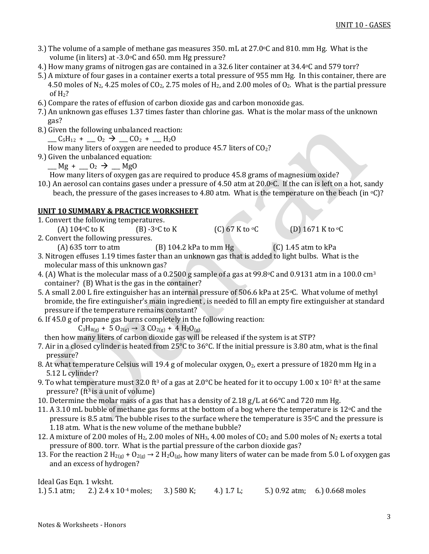- 3.) The volume of a sample of methane gas measures 350. mL at  $27.0\textdegree$ C and 810. mm Hg. What is the volume (in liters) at -3.0°C and 650. mm Hg pressure?
- 4.) How many grams of nitrogen gas are contained in a 32.6 liter container at 34.4 °C and 579 torr?
- 5.) A mixture of four gases in a container exerts a total pressure of 955 mm Hg. In this container, there are 4.50 moles of N<sub>2</sub>, 4.25 moles of CO<sub>2</sub>, 2.75 moles of H<sub>2</sub>, and 2.00 moles of O<sub>2</sub>. What is the partial pressure of  $H<sub>2</sub>$ ?
- 6.) Compare the rates of effusion of carbon dioxide gas and carbon monoxide gas.
- 7.) An unknown gas effuses 1.37 times faster than chlorine gas. What is the molar mass of the unknown gas?
- 8.) Given the following unbalanced reaction:

 $C_5H_{12}$  +  $C_2$   $\rightarrow$   $C_2$  +  $C_1H_2O$ 

- How many liters of oxygen are needed to produce 45.7 liters of  $CO<sub>2</sub>$ ?
- 9.) Given the unbalanced equation:

 $\underline{\hspace{1cm}}$  Mg +  $\underline{\hspace{1cm}}$  O<sub>2</sub>  $\rightarrow$   $\underline{\hspace{1cm}}$  MgO

How many liters of oxygen gas are required to produce 45.8 grams of magnesium oxide?

10.) An aerosol can contains gases under a pressure of 4.50 atm at 20.0 $\degree$ C. If the can is left on a hot, sandy beach, the pressure of the gases increases to 4.80 atm. What is the temperature on the beach (in  $\circ$ C)?

# **UNIT 10 SUMMARY & PRACTICE WORKSHEET**

- 1. Convert the following temperatures.
	- (A)  $104\degree$ C to K (B)  $-3\degree$ C to K (C) 67 K to  $\degree$ C (D) 1671 K to  $\degree$ C
- 2. Convert the following pressures.
	- (A) 635 torr to atm (B) 104.2 kPa to mm Hg (C) 1.45 atm to kPa
- 3. Nitrogen effuses 1.19 times faster than an unknown gas that is added to light bulbs. What is the molecular mass of this unknown gas?
- 4. (A) What is the molecular mass of a 0.2500 g sample of a gas at 99.8 $\degree$ C and 0.9131 atm in a 100.0 cm<sup>3</sup> container? (B) What is the gas in the container?
- 5. A small 2.00 L fire extinguisher has an internal pressure of 506.6 kPa at 25°C. What volume of methyl bromide, the fire extinguisher's main ingredient , is needed to fill an empty fire extinguisher at standard pressure if the temperature remains constant?
- 6. If 45.0 g of propane gas burns completely in the following reaction:

 $C_3H_{8(g)}$  + 5 O<sub>2(g)</sub> → 3 CO<sub>2(g)</sub> + 4 H<sub>2</sub>O<sub>(g)</sub>

then how many liters of carbon dioxide gas will be released if the system is at STP?

- 7. Air in a closed cylinder is heated from 25°C to 36°C. If the initial pressure is 3.80 atm, what is the final pressure?
- 8. At what temperature Celsius will 19.4 g of molecular oxygen, O<sub>2</sub>, exert a pressure of 1820 mm Hg in a 5.12 L cylinder?
- 9. To what temperature must 32.0 ft<sup>3</sup> of a gas at 2.0 °C be heated for it to occupy 1.00 x 10<sup>2</sup> ft<sup>3</sup> at the same pressure? ( $ft<sup>3</sup>$  is a unit of volume)
- 10. Determine the molar mass of a gas that has a density of 2.18  $g/L$  at 66 $\degree$ C and 720 mm Hg.
- 11. A 3.10 mL bubble of methane gas forms at the bottom of a bog where the temperature is 12 $\degree$ C and the pressure is 8.5 atm. The bubble rises to the surface where the temperature is  $35\degree$ C and the pressure is 1.18 atm. What is the new volume of the methane bubble?
- 12. A mixture of 2.00 moles of H<sub>2</sub>, 2.00 moles of NH<sub>3</sub>, 4.00 moles of CO<sub>2</sub> and 5.00 moles of N<sub>2</sub> exerts a total pressure of 800. torr. What is the partial pressure of the carbon dioxide gas?
- 13. For the reaction 2 H<sub>2(g)</sub> + O<sub>2(g)</sub>  $\rightarrow$  2 H<sub>2</sub>O<sub>(g)</sub>, how many liters of water can be made from 5.0 L of oxygen gas and an excess of hydrogen?

| Ideal Gas Eqn. 1 wksht. |                                                           |            |                               |
|-------------------------|-----------------------------------------------------------|------------|-------------------------------|
|                         | 1.) 5.1 atm; 2.) 2.4 x 10 <sup>-4</sup> moles; 3.) 580 K; | 4.) 1.7 L; | 5.) 0.92 atm; 6.) 0.668 moles |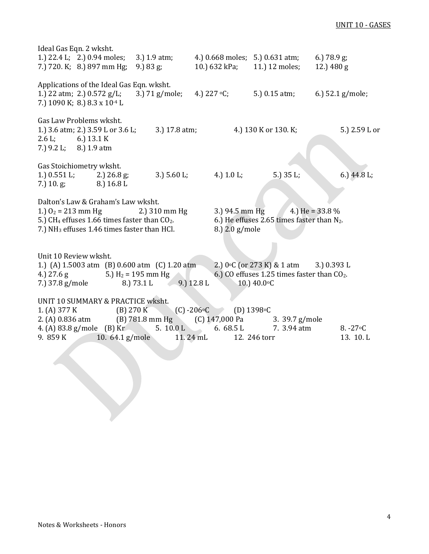# UNIT 10 - GASES

| Ideal Gas Eqn. 2 wksht.                          | 1.) 22.4 L; 2.) 0.94 moles;                                                                                                                                                          | 3.) 1.9 atm;                                                                         | 4.) 0.668 moles; 5.) 0.631 atm;           |                                                                                                                          | 6.) $78.9$ g;           |
|--------------------------------------------------|--------------------------------------------------------------------------------------------------------------------------------------------------------------------------------------|--------------------------------------------------------------------------------------|-------------------------------------------|--------------------------------------------------------------------------------------------------------------------------|-------------------------|
|                                                  | 7.) 720. K; 8.) 897 mm Hg;                                                                                                                                                           | 9.) $83 \text{ g}$ ;                                                                 | 10.) 632 kPa;                             | 11.) 12 moles;                                                                                                           | 12.) 480 g              |
|                                                  | Applications of the Ideal Gas Eqn. wksht.<br>1.) 22 atm; 2.) 0.572 g/L;<br>7.) 1090 K; 8.) 8.3 x 10 <sup>-4</sup> L                                                                  | $3.$ ) 71 g/mole;                                                                    | 4.) $227 \text{ }^{\circ}C$ ;             | 5.) 0.15 atm;                                                                                                            | 6.) $52.1$ g/mole;      |
| $2.6 L$ ; 6.) $13.1 K$<br>7.) 9.2 L; 8.) 1.9 atm | Gas Law Problems wksht.<br>1.) 3.6 atm; 2.) 3.59 L or 3.6 L;                                                                                                                         | 3.) 17.8 atm;                                                                        |                                           | 4.) 130 K or 130. K;                                                                                                     | 5.) 2.59 L or           |
| 1.) $0.551 L;$<br>7.) $10. g;$                   | Gas Stoichiometry wksht.<br>2.) $26.8$ g;<br>8.) 16.8 L                                                                                                                              | 3.) $5.60 L;$                                                                        | 4.) $1.0 L;$                              | 5.) 35 L;                                                                                                                | 6.) $44.8 L;$           |
|                                                  | Dalton's Law & Graham's Law wksht.<br>1.) $O_2 = 213$ mm Hg<br>5.) CH <sub>4</sub> effuses 1.66 times faster than $CO2$ .<br>7.) NH <sub>3</sub> effuses 1.46 times faster than HCl. | 2.) 310 mm Hg                                                                        | 3.) 94.5 mm $Hg$<br>8.) 2.0 g/mole        | 6.) He effuses 2.65 times faster than $N_2$ .                                                                            | 4.) He = $33.8\%$       |
| Unit 10 Review wksht.<br>4.) 27.6 g              | 7.) 37.8 g/mole                                                                                                                                                                      | 1.) (A) 1.5003 atm (B) 0.600 atm (C) 1.20 atm<br>5.) $H_2 = 195$ mm Hg<br>8.) 73.1 L | $9.$ ) 12.8 L                             | 2.) $0 \circ C$ (or 273 K) & 1 atm 3.) 0.393 L<br>6.) CO effuses 1.25 times faster than $CO2$ .<br>10.) $40.0 \degree C$ |                         |
| 1. (A) $377 K$<br>9. $859K$                      | UNIT 10 SUMMARY & PRACTICE wksht.<br>(B) 270 K<br>4. (A) $83.8$ g/mole (B) Kr<br>10. $64.1$ g/mole                                                                                   | 2. (A) 0.836 atm (B) 781.8 mm Hg (C) 147,000 Pa<br>5. 10.0 L                         | $(C) - 206$ °C<br>6. $68.5 L$<br>11.24 mL | (D) 1398°C<br>3. 39.7 g/mole<br>7. 3.94 atm<br>12. 246 torr                                                              | $8. -27$ °C<br>13. 10.L |
|                                                  |                                                                                                                                                                                      |                                                                                      |                                           |                                                                                                                          |                         |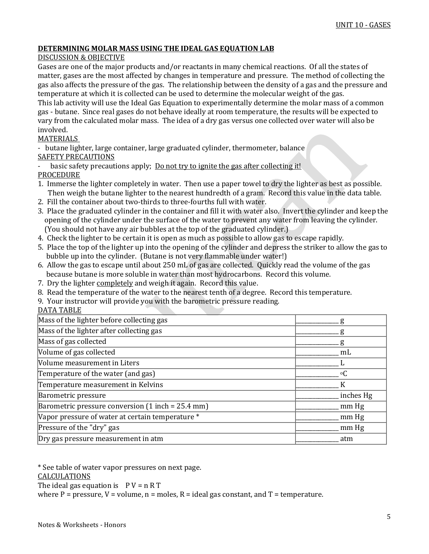### **DETERMINING MOLAR MASS USING THE IDEAL GAS EQUATION LAB**

### DISCUSSION & OBJECTIVE

Gases are one of the major products and/or reactants in many chemical reactions. Of all the states of matter, gases are the most affected by changes in temperature and pressure. The method of collecting the gas also affects the pressure of the gas. The relationship between the density of a gas and the pressure and temperature at which it is collected can be used to determine the molecular weight of the gas.

This lab activity will use the Ideal Gas Equation to experimentally determine the molar mass of a common gas - butane. Since real gases do not behave ideally at room temperature, the results will be expected to vary from the calculated molar mass. The idea of a dry gas versus one collected over water will also be involved.

### MATERIALS

- butane lighter, large container, large graduated cylinder, thermometer, balance SAFETY PRECAUTIONS

basic safety precautions apply; Do not try to ignite the gas after collecting it! PROCEDURE

- 1. Immerse the lighter completely in water. Then use a paper towel to dry the lighter as best as possible. Then weigh the butane lighter to the nearest hundredth of a gram. Record this value in the data table.
- 2. Fill the container about two-thirds to three-fourths full with water.
- 3. Place the graduated cylinder in the container and fill it with water also. Invert the cylinder and keep the opening of the cylinder under the surface of the water to prevent any water from leaving the cylinder. (You should not have any air bubbles at the top of the graduated cylinder.)
- 4. Check the lighter to be certain it is open as much as possible to allow gas to escape rapidly.
- 5. Place the top of the lighter up into the opening of the cylinder and depress the striker to allow the gas to bubble up into the cylinder. (Butane is not very flammable under water!)
- 6. Allow the gas to escape until about 250 mL of gas are collected. Quickly read the volume of the gas because butane is more soluble in water than most hydrocarbons. Record this volume.
- 7. Dry the lighter completely and weigh it again. Record this value.
- 8. Read the temperature of the water to the nearest tenth of a degree. Record this temperature.
- 9. Your instructor will provide you with the barometric pressure reading.
- DATA TABLE

| Mass of the lighter before collecting gas           |           |
|-----------------------------------------------------|-----------|
| Mass of the lighter after collecting gas            |           |
| Mass of gas collected                               |           |
| Volume of gas collected                             | mL        |
| Volume measurement in Liters                        |           |
| Temperature of the water (and gas)                  | $\circ$ C |
| Temperature measurement in Kelvins                  |           |
| Barometric pressure                                 | inches Hg |
| Barometric pressure conversion $(1$ inch = 25.4 mm) | mm Hg     |
| Vapor pressure of water at certain temperature *    | mm Hg     |
| Pressure of the "dry" gas                           | mm Hg     |
| Dry gas pressure measurement in atm                 | atm       |
|                                                     |           |

\* See table of water vapor pressures on next page. CALCULATIONS The ideal gas equation is  $P V = n R T$ where P = pressure,  $V =$  volume,  $n =$  moles,  $R =$  ideal gas constant, and  $T =$  temperature.